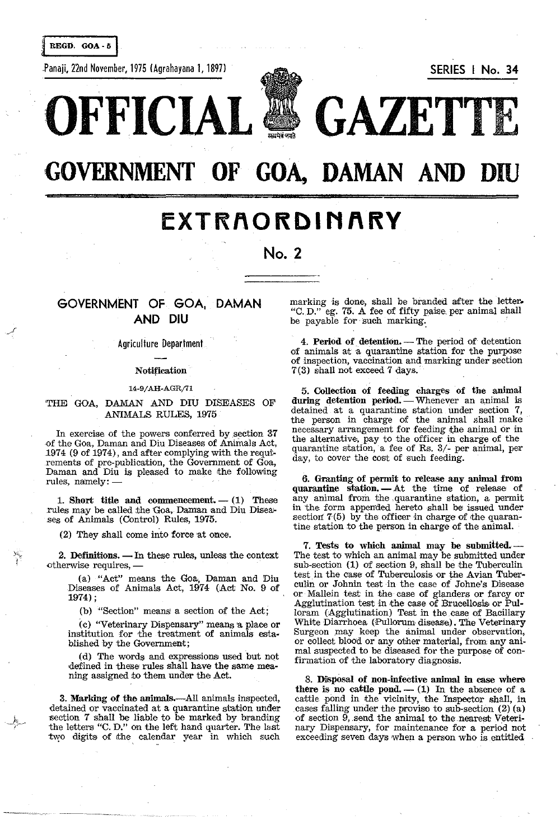REGD. GOA - 5

Panaji, 22nd November, 1975 (Agrahayana 1, 1897) SERIES I No. 34



**OFFICIAL & GAZETT** 

# **GOVERNMENT OF GOA, DAMAN AND**

## **EXTRAORDINARY**

**No. 2** 

### GOVERNMENT OF GOA, DAMAN AND DIU

#### Agriculture Department

#### Notification

#### 14-9/AH-AGR/71

#### 'THE GOA, DAMAN AND DIU DISEASES OF ANIMALS RULES, 1975

In exercise of the powers conferred by section 37 ·of the Goa, Daman and Diu Diseases of Animals Act, .1974 (9 of 1974), and after complying with the requi· rements of pre· publication, the Government of Goa, Daman and Diu is pleased to make the following rules, namely:-

1. Short title and commencement.  $-$  (1) These rules may be called the Goa, Daman and Diu Diseases of Animals (Control) Rules, 1975.

(2) They shall come into force at once.

2. Definitions.  $-$  In these rules, unless the context otherwise requires, -

(a) "Act" means the Goa, Daman and 'Diu Diseases of Animals Act, 1974 (Act No. 9 of 1974) ;

(b) "Section" means a section of the Act;

(c) "Veterinary Dispensary" means a place or institution for the treatment of animals established by the Government;

(d) The words and expressions used but not defined in these rules shall have the same meaningassigned to them under the Act.

3. Marking of the animals.--All animals inspected, detained or vaccinated at a quarantine station under section 7 shall be liable to be marked by branding the letters "C. D." on the left hand quarter. The last two digits of the calendar year in which such

marking is done, shall be branded after the letter. "C.D." eg. 75. A fee of fifty paise per animal shall be payable for such marking.

4. Period of detention. - The period of detention of animals at a quarantine station for the purpose of inspection, vaccination and marking under section 7(3) shall not exceed 7 days.'

5. Collection of feeding charges of the animal during detention period. - Whenever an animal is detained at a quarantine station under section 7, the person in charge of the animal shall make necessary arrangement for feeding the animal or in the alternative, pay to the officer in charge of the quarantine station, a fee of Rs. 3/- per animal, per day, to cover the cost of such feeding.

6. Granting of permit to release any animal from quarantine station. - At the time of release of any animal from the .quarantine station, a permit in the form apperrded hereto shall be issued under section  $7(5)$  by the officer in charge of the quarantine station to the person in charge of the animal.

7. Tests to which animal may be submitted.-The test to which an animal may be submitted under sub-section (1) of section 9, shall be the Tuberculin test in the case of Tuberculosis or the Avian Tuberculin or Johnin test in the case of Johne's Disease or Mallein test in the case of glanders or farcy or Agglutination test in the case of Brucellosis or Pulloram (Agglutination) Test in the case of Bacillary White Diarrhoea (Pullorum disease). The Veterinary Surgeon may keep the animal under observation, or collect blood or any other material, from any animal suspected to be diseased for the purpose of confirmation of the laboratory diagnosis.

8. DiSpOsal of non-infective animal in case where there is no cattle pond.  $-$  (1) In the absence of a cattle pond in the vicinity, the Inspector shall, in cases falling under the proviso to sub-section (2) (a) of section 9, send the animal to the nearest Veterinary Dispensary, for maintenance for a period not exceeding seven days when a person who is entitled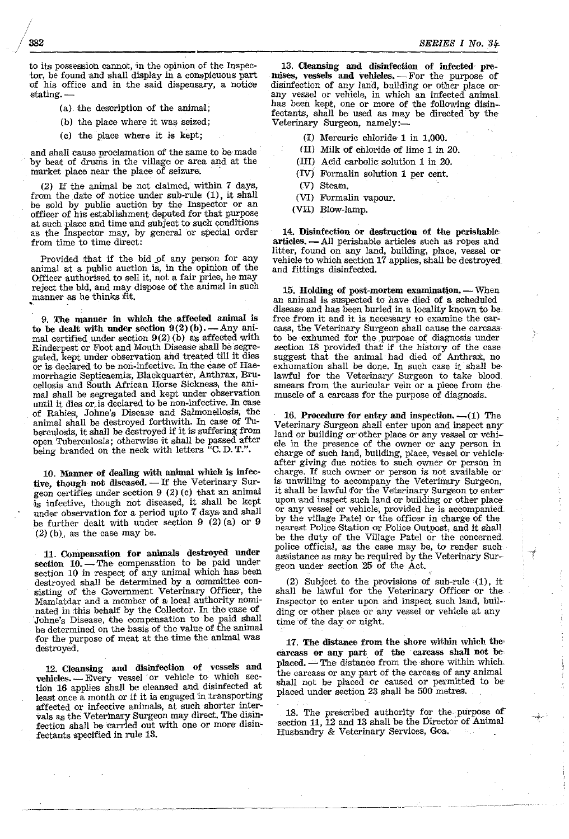to its possession cannot, in the opinion of the Inspector, be found and shall display in a conspicuous part of his office and in the said dispensary, a notice stating.

- (a) the description of the animal;
- (b) the place where it was seized;
- (c) the place where it is kept;

and shall cause proclamation of the same to be made by beat of drums in the village or area and at the market place near the place of seizure.

(2) If the animal be not claimed, within 7 days, from the date of notice under sub-rule  $(1)$ , it shall be sold by public auction by the Inspector or an officer of his establishment deputed for that purpose at such place and time and subject to such conditions as the Inspector may, by general or special order from time to time direct:

Provided that if the bid \_of any person for any animal at a public auction is, in the opinion of the Officer authorised to sell it, not a fair price, he may reject the bid, and may dispose of the animal in such manner as he thinks fit. •

9. The manner in which the affected animal is to be dealt with under section  $9(2)(b)$ . - Any animal certified under section  $9(2)$  (b) as affected with Rinderpest or Foot and Mouth Disease shall be segregated, kept under observation and treated till it dies or is declared to be non-infective. In the case of Haemorrhagic Septicaemia, Blackquarter, Anthrax, Brucellosis and South African Horse Sickness, the animal shall be segregated and kept under observation until it dies or is declared to be non-infective. In case of Rabies, Johne's Disease and Salmonellosis, the animal shall be destroyed forthwith. In case of Tuberculosis, it shall be destroyed if it is suffering from open Tuberculosis; otherwise it shall be passed after being branded on the neck with letters "C.D.T.".

10. Manner of dealing with animal which is infective, though not diseased. - If the Veterinary Surgeon certifies under section  $9$  (2) (c) that an animal is infective, though not diseased, it shall be kept under observation for a period upto 7 days and shall be further dealt with under section 9 (2) (a) or 9  $(2)$  (b), as the case may be.

11. Compensation for animals destroyed under section 10. - The compensation to be paid under section 10 in respect of any animal which has been destroyed shall be determined by a committee consisting of the Government Veterinary Officer, the Mamlatdar and a member of a; local authority nominated in this behalf by the Collector. In the case of Johne's Disease, the compensation to be paid shall be determined on the basis of the value of the animal for the purpose of meat at the time the animal was destroyed.

12. Cleansing and disinfection of vessels and vehicles.  $-$  Every vessel or vehicle to which section 16 applies shall be cleansed and disinfected at least once a month or if it is engaged in transporting affected or infective animals, at such shorter intervals as the Veterinary Surgeon may direct. The disinfection shall be carried out with one or more disinfectants specified in rule 13.

13. Cleansing and disinfection of infected premises, vessels and vehicles. - For the purpose of disinfection of any land, building or other place or any vessel or vehicle, in which an infected animal has been kept, one or more of the following disinfectants, shall be used as may be directed by the Veterinary Surgeon, namely:-

- $(I)$  Mercuric chloride 1 in 1,000.
- (ll) Milk of chloride of lime 1 in 20.
- (III) Acid carbolic solution 1 in 20.
- (IVj Formalin solution 1 per cent.
- (V) Steam.
- (VI) Formalin vapour.
- (VII) Blow-lamp.

14. Disinfection or destruction of the perishable, articles. - All perishable articles such as ropes and litter, found on any land, building, place, vessel or vehicle to which section 17 applies, shall be destroyed and fittings disinfected.

 $15.$  Holding of post-mortem examination.  $-$  When an animal is suspected to have died of a scheduled disease and has heen buried in a locality known to be, free from it and it is necessary to examine the carcass, the Veterinary Surgeon shall cause the carcass to be exhumed for the purpose of diagnosis under section 18 provided that if the history of the case suggest that the animal had died of Anthrax, no exhumation shall be done. In such case it shall be lawful for the Veterinary' Surgeon to take blood smears from the auricular vein or a piece from the muscle of a carcass for the purpose of diagnosis.

16. Procedure for entry and inspection.  $-(1)$  The Veterinary Surgeon shall enter upon and inspect any' land or building or other place or any vessel or vehicle in the presence of the owner Or any person in charge of such land, building, place, vessel or vehicle after giving due notice to such owner or person in charge. If such owner or person is not available or is unwilling to accompany the Veterinary Surgeon, it shall be lawful for the Veterinary Surgeon to enterupon and inspect such land or building or other place or any vessel or vehicle, provided he is accompanied. by the village Patel or the officer in charge of the nearest Police Station or Police Outpost, and it shall be the duty of the Village Patel or the concerned police official, as the case may be, to render such assistance as may be required by the Veterinary Sur-· geon under section 25 of the Act.

(2) Subject to the provisions of sub-rule (1), it shall be lawful for the Veterinary Officer or the Inspector to enter upon and inspect such land, building or other place or any vessel or vehicle at any time of the day or night.

17. The distance from the shore within which the carcass or any part of the carcass shall not be, placed. --- The distance from the shore within which. the carcass or any part of the carcass of any animal shall not be placed or caused or permitted to be placed under section 23 shall be 500 metres.

18. The prescribed authority for the purpose of section 11, 12 and 13 shall be the Director of Animal Husbandry & Veterinary Services, Goa.